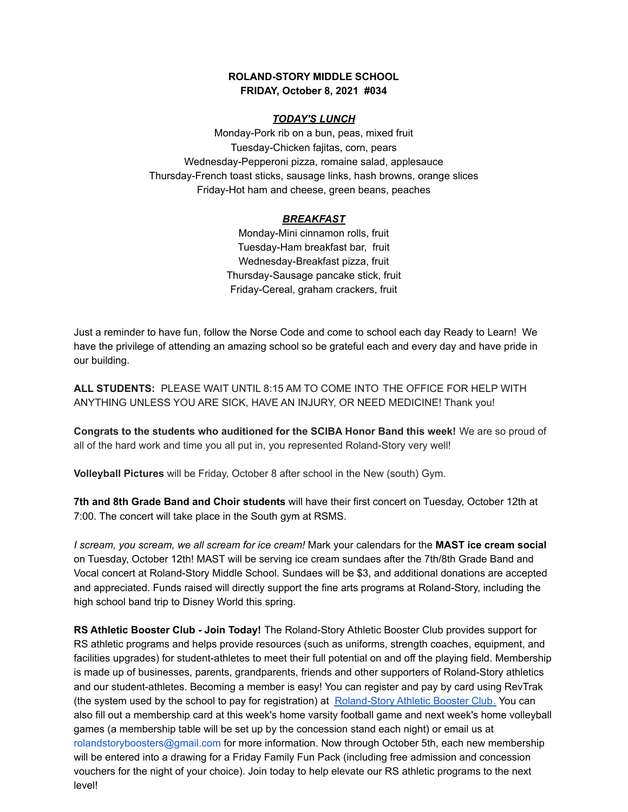## **ROLAND-STORY MIDDLE SCHOOL FRIDAY, October 8, 2021 #034**

### *TODAY'S LUNCH*

Monday-Pork rib on a bun, peas, mixed fruit Tuesday-Chicken fajitas, corn, pears Wednesday-Pepperoni pizza, romaine salad, applesauce Thursday-French toast sticks, sausage links, hash browns, orange slices Friday-Hot ham and cheese, green beans, peaches

### *BREAKFAST*

Monday-Mini cinnamon rolls, fruit Tuesday-Ham breakfast bar, fruit Wednesday-Breakfast pizza, fruit Thursday-Sausage pancake stick, fruit Friday-Cereal, graham crackers, fruit

Just a reminder to have fun, follow the Norse Code and come to school each day Ready to Learn! We have the privilege of attending an amazing school so be grateful each and every day and have pride in our building.

**ALL STUDENTS:** PLEASE WAIT UNTIL 8:15 AM TO COME INTO THE OFFICE FOR HELP WITH ANYTHING UNLESS YOU ARE SICK, HAVE AN INJURY, OR NEED MEDICINE! Thank you!

**Congrats to the students who auditioned for the SCIBA Honor Band this week!** We are so proud of all of the hard work and time you all put in, you represented Roland-Story very well!

**Volleyball Pictures** will be Friday, October 8 after school in the New (south) Gym.

**7th and 8th Grade Band and Choir students** will have their first concert on Tuesday, October 12th at 7:00. The concert will take place in the South gym at RSMS.

*I scream, you scream, we all scream for ice cream!* Mark your calendars for the **MAST ice cream social** on Tuesday, October 12th! MAST will be serving ice cream sundaes after the 7th/8th Grade Band and Vocal concert at Roland-Story Middle School. Sundaes will be \$3, and additional donations are accepted and appreciated. Funds raised will directly support the fine arts programs at Roland-Story, including the high school band trip to Disney World this spring.

**RS Athletic Booster Club - Join Today!** The Roland-Story Athletic Booster Club provides support for RS athletic programs and helps provide resources (such as uniforms, strength coaches, equipment, and facilities upgrades) for student-athletes to meet their full potential on and off the playing field. Membership is made up of businesses, parents, grandparents, friends and other supporters of Roland-Story athletics and our student-athletes. Becoming a member is easy! You can register and pay by card using RevTrak (the system used by the school to pay for registration) at [Roland-Story](https://rolandstory.revtrak.net/Roland-Story-Athletic-Booster-Club/) Athletic Booster Club. You can also fill out a membership card at this week's home varsity football game and next week's home volleyball games (a membership table will be set up by the concession stand each night) or email us at rolandstoryboosters@gmail.com for more information. Now through October 5th, each new membership will be entered into a drawing for a Friday Family Fun Pack (including free admission and concession vouchers for the night of your choice). Join today to help elevate our RS athletic programs to the next level!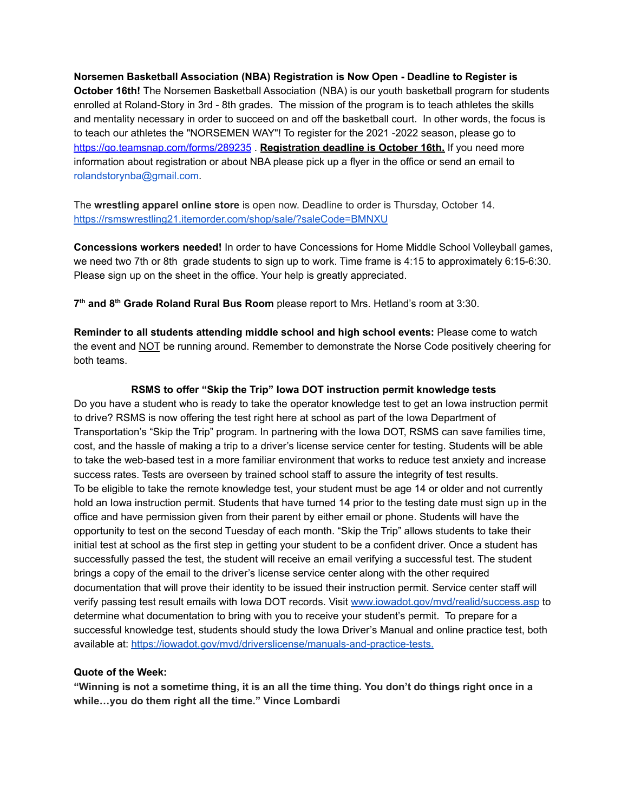**Norsemen Basketball Association (NBA) Registration is Now Open - Deadline to Register is October 16th!** The Norsemen Basketball Association (NBA) is our youth basketball program for students enrolled at Roland-Story in 3rd - 8th grades. The mission of the program is to teach athletes the skills and mentality necessary in order to succeed on and off the basketball court. In other words, the focus is to teach our athletes the "NORSEMEN WAY"! To register for the 2021 -2022 season, please go to <https://go.teamsnap.com/forms/289235> . **Registration deadline is October 16th.** If you need more information about registration or about NBA please pick up a flyer in the office or send an email to rolandstorynba@gmail.com.

The **wrestling apparel online store** is open now. Deadline to order is Thursday, October 14. <https://rsmswrestling21.itemorder.com/shop/sale/?saleCode=BMNXU>

**Concessions workers needed!** In order to have Concessions for Home Middle School Volleyball games, we need two 7th or 8th grade students to sign up to work. Time frame is 4:15 to approximately 6:15-6:30. Please sign up on the sheet in the office. Your help is greatly appreciated.

**7 th and 8 th Grade Roland Rural Bus Room** please report to Mrs. Hetland's room at 3:30.

**Reminder to all students attending middle school and high school events:** Please come to watch the event and NOT be running around. Remember to demonstrate the Norse Code positively cheering for both teams.

#### **RSMS to offer "Skip the Trip" Iowa DOT instruction permit knowledge tests**

Do you have a student who is ready to take the operator knowledge test to get an Iowa instruction permit to drive? RSMS is now offering the test right here at school as part of the Iowa Department of Transportation's "Skip the Trip" program. In partnering with the Iowa DOT, RSMS can save families time, cost, and the hassle of making a trip to a driver's license service center for testing. Students will be able to take the web-based test in a more familiar environment that works to reduce test anxiety and increase success rates. Tests are overseen by trained school staff to assure the integrity of test results. To be eligible to take the remote knowledge test, your student must be age 14 or older and not currently hold an Iowa instruction permit. Students that have turned 14 prior to the testing date must sign up in the office and have permission given from their parent by either email or phone. Students will have the opportunity to test on the second Tuesday of each month. "Skip the Trip" allows students to take their initial test at school as the first step in getting your student to be a confident driver. Once a student has successfully passed the test, the student will receive an email verifying a successful test. The student brings a copy of the email to the driver's license service center along with the other required documentation that will prove their identity to be issued their instruction permit. Service center staff will verify passing test result emails with Iowa DOT records. Visit [www.iowadot.gov/mvd/realid/success.asp](http://www.iowadot.gov/mvd/realid/success.asp) to determine what documentation to bring with you to receive your student's permit. To prepare for a successful knowledge test, students should study the Iowa Driver's Manual and online practice test, both available at: <https://iowadot.gov/mvd/driverslicense/manuals-and-practice-tests>.

## **Quote of the Week:**

"Winning is not a sometime thing, it is an all the time thing. You don't do things right once in a **while…you do them right all the time." Vince Lombardi**